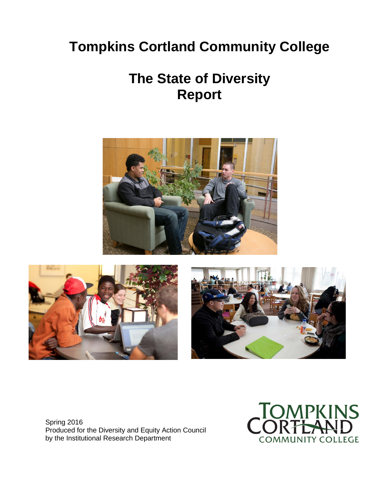# **Tompkins Cortland Community College**

# **The State of Diversity Report**







Spring 2016 Produced for the Diversity and Equity Action Council by the Institutional Research Department

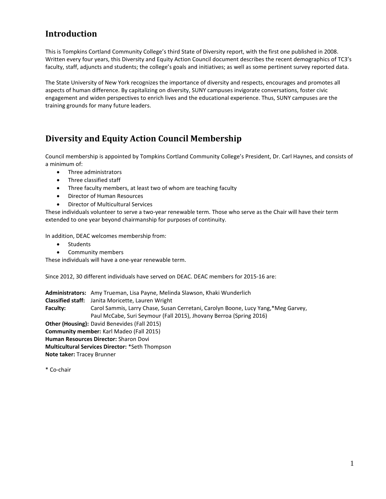# **Introduction**

This is Tompkins Cortland Community College's third State of Diversity report, with the first one published in 2008. Written every four years, this Diversity and Equity Action Council document describes the recent demographics of TC3's faculty, staff, adjuncts and students; the college's goals and initiatives; as well as some pertinent survey reported data.

The State University of New York recognizes the importance of diversity and respects, encourages and promotes all aspects of human difference. By capitalizing on diversity, SUNY campuses invigorate conversations, foster civic engagement and widen perspectives to enrich lives and the educational experience. Thus, SUNY campuses are the training grounds for many future leaders.

# **Diversity and Equity Action Council Membership**

Council membership is appointed by Tompkins Cortland Community College's President, Dr. Carl Haynes, and consists of a minimum of:

- Three administrators
- Three classified staff
- Three faculty members, at least two of whom are teaching faculty
- Director of Human Resources
- Director of Multicultural Services

These individuals volunteer to serve a two-year renewable term. Those who serve as the Chair will have their term extended to one year beyond chairmanship for purposes of continuity.

In addition, DEAC welcomes membership from:

- Students
- Community members

These individuals will have a one-year renewable term.

Since 2012, 30 different individuals have served on DEAC. DEAC members for 2015-16 are:

**Administrators:** Amy Trueman, Lisa Payne, Melinda Slawson, Khaki Wunderlich **Classified staff:** Janita Moricette, Lauren Wright **Faculty:** Carol Sammis, Larry Chase, Susan Cerretani, Carolyn Boone, Lucy Yang,\*Meg Garvey, Paul McCabe, Suri Seymour (Fall 2015), Jhovany Berroa (Spring 2016) **Other (Housing):** David Benevides (Fall 2015) **Community member:** Karl Madeo (Fall 2015) **Human Resources Director:** Sharon Dovi **Multicultural Services Director:** \*Seth Thompson **Note taker:** Tracey Brunner

\* Co-chair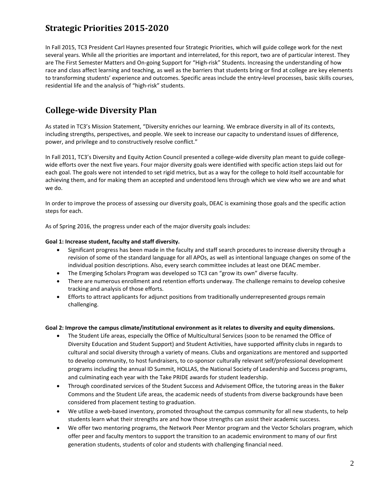# **Strategic Priorities 2015-2020**

In Fall 2015, TC3 President Carl Haynes presented four Strategic Priorities, which will guide college work for the next several years. While all the priorities are important and interrelated, for this report, two are of particular interest. They are The First Semester Matters and On-going Support for "High-risk" Students. Increasing the understanding of how race and class affect learning and teaching, as well as the barriers that students bring or find at college are key elements to transforming students' experience and outcomes. Specific areas include the entry-level processes, basic skills courses, residential life and the analysis of "high-risk" students.

# **College-wide Diversity Plan**

As stated in TC3's Mission Statement, "Diversity enriches our learning. We embrace diversity in all of its contexts, including strengths, perspectives, and people. We seek to increase our capacity to understand issues of difference, power, and privilege and to constructively resolve conflict."

In Fall 2011, TC3's Diversity and Equity Action Council presented a college-wide diversity plan meant to guide collegewide efforts over the next five years. Four major diversity goals were identified with specific action steps laid out for each goal. The goals were not intended to set rigid metrics, but as a way for the college to hold itself accountable for achieving them, and for making them an accepted and understood lens through which we view who we are and what we do.

In order to improve the process of assessing our diversity goals, DEAC is examining those goals and the specific action steps for each.

As of Spring 2016, the progress under each of the major diversity goals includes:

#### **Goal 1: Increase student, faculty and staff diversity.**

- Significant progress has been made in the faculty and staff search procedures to increase diversity through a revision of some of the standard language for all APOs, as well as intentional language changes on some of the individual position descriptions. Also, every search committee includes at least one DEAC member.
- The Emerging Scholars Program was developed so TC3 can "grow its own" diverse faculty.
- There are numerous enrollment and retention efforts underway. The challenge remains to develop cohesive tracking and analysis of those efforts.
- Efforts to attract applicants for adjunct positions from traditionally underrepresented groups remain challenging.

#### **Goal 2: Improve the campus climate/institutional environment as it relates to diversity and equity dimensions.**

- The Student Life areas, especially the Office of Multicultural Services (soon to be renamed the Office of Diversity Education and Student Support) and Student Activities, have supported affinity clubs in regards to cultural and social diversity through a variety of means. Clubs and organizations are mentored and supported to develop community, to host fundraisers, to co-sponsor culturally relevant self/professional development programs including the annual ID Summit, HOLLAS, the National Society of Leadership and Success programs, and culminating each year with the Take PRIDE awards for student leadership.
- Through coordinated services of the Student Success and Advisement Office, the tutoring areas in the Baker Commons and the Student Life areas, the academic needs of students from diverse backgrounds have been considered from placement testing to graduation.
- We utilize a web-based inventory, promoted throughout the campus community for all new students, to help students learn what their strengths are and how those strengths can assist their academic success.
- We offer two mentoring programs, the Network Peer Mentor program and the Vector Scholars program, which offer peer and faculty mentors to support the transition to an academic environment to many of our first generation students, students of color and students with challenging financial need.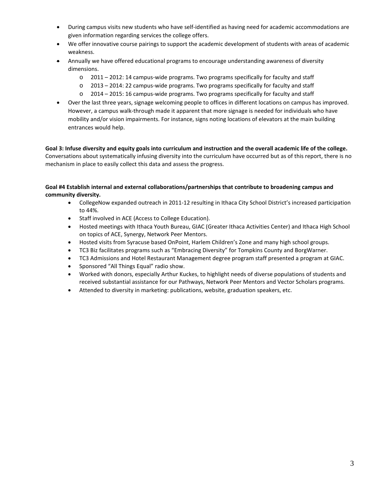- During campus visits new students who have self-identified as having need for academic accommodations are given information regarding services the college offers.
- We offer innovative course pairings to support the academic development of students with areas of academic weakness.
- Annually we have offered educational programs to encourage understanding awareness of diversity dimensions.
	- $\circ$  2011 2012: 14 campus-wide programs. Two programs specifically for faculty and staff
	- o 2013 2014: 22 campus-wide programs. Two programs specifically for faculty and staff
	- $\circ$  2014 2015: 16 campus-wide programs. Two programs specifically for faculty and staff
- Over the last three years, signage welcoming people to offices in different locations on campus has improved. However, a campus walk-through made it apparent that more signage is needed for individuals who have mobility and/or vision impairments. For instance, signs noting locations of elevators at the main building entrances would help.

**Goal 3: Infuse diversity and equity goals into curriculum and instruction and the overall academic life of the college.** Conversations about systematically infusing diversity into the curriculum have occurred but as of this report, there is no mechanism in place to easily collect this data and assess the progress.

**Goal #4 Establish internal and external collaborations/partnerships that contribute to broadening campus and community diversity.**

- CollegeNow expanded outreach in 2011-12 resulting in Ithaca City School District's increased participation to 44%.
- Staff involved in ACE (Access to College Education).
- Hosted meetings with Ithaca Youth Bureau, GIAC (Greater Ithaca Activities Center) and Ithaca High School on topics of ACE, Synergy, Network Peer Mentors.
- Hosted visits from Syracuse based OnPoint, Harlem Children's Zone and many high school groups.
- TC3 Biz facilitates programs such as "Embracing Diversity" for Tompkins County and BorgWarner.
- TC3 Admissions and Hotel Restaurant Management degree program staff presented a program at GIAC.
- Sponsored "All Things Equal" radio show.
- Worked with donors, especially Arthur Kuckes, to highlight needs of diverse populations of students and received substantial assistance for our Pathways, Network Peer Mentors and Vector Scholars programs.
- Attended to diversity in marketing: publications, website, graduation speakers, etc.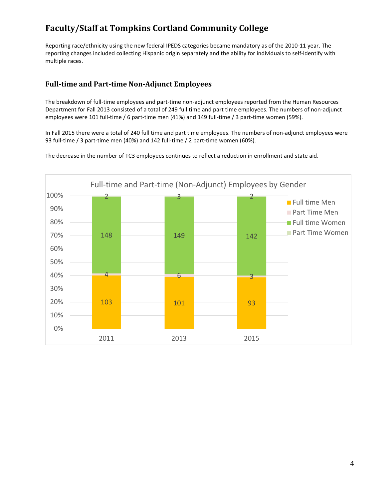# **Faculty/Staff at Tompkins Cortland Community College**

Reporting race/ethnicity using the new federal IPEDS categories became mandatory as of the 2010-11 year. The reporting changes included collecting Hispanic origin separately and the ability for individuals to self-identify with multiple races.

# **Full-time and Part-time Non-Adjunct Employees**

The breakdown of full-time employees and part-time non-adjunct employees reported from the Human Resources Department for Fall 2013 consisted of a total of 249 full time and part time employees. The numbers of non-adjunct employees were 101 full-time / 6 part-time men (41%) and 149 full-time / 3 part-time women (59%).

In Fall 2015 there were a total of 240 full time and part time employees. The numbers of non-adjunct employees were 93 full-time / 3 part-time men (40%) and 142 full-time / 2 part-time women (60%).

The decrease in the number of TC3 employees continues to reflect a reduction in enrollment and state aid.

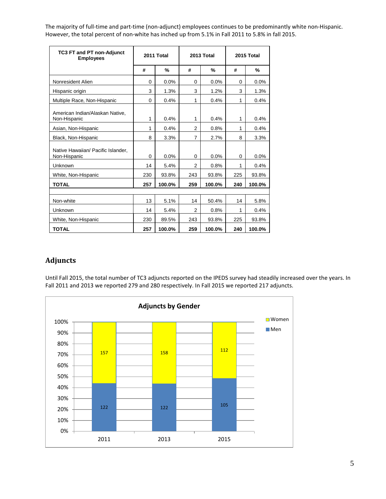The majority of full-time and part-time (non-adjunct) employees continues to be predominantly white non-Hispanic. However, the total percent of non-white has inched up from 5.1% in Fall 2011 to 5.8% in fall 2015.

| <b>TC3 FT and PT non-Adjunct</b><br><b>Employees</b> |             | 2011 Total |                | 2013 Total | 2015 Total |               |  |
|------------------------------------------------------|-------------|------------|----------------|------------|------------|---------------|--|
|                                                      | #           | %          | #              | %          | #          | $\frac{0}{2}$ |  |
| Nonresident Alien                                    | $\Omega$    | 0.0%       | 0              | 0.0%       | $\Omega$   | 0.0%          |  |
| Hispanic origin                                      | 3           | 1.3%       | 3              | 1.2%       | 3          | 1.3%          |  |
| Multiple Race, Non-Hispanic                          | $\mathbf 0$ | 0.4%       | 1              | 0.4%       | 1          | 0.4%          |  |
| American Indian/Alaskan Native,<br>Non-Hispanic      | 1           | 0.4%       | 1              | 0.4%       | 1          | 0.4%          |  |
| Asian, Non-Hispanic                                  | 1           | 0.4%       | $\overline{2}$ | 0.8%       | 1          | 0.4%          |  |
| Black, Non-Hispanic                                  | 8           | 3.3%       | 7              | 2.7%       | 8          | 3.3%          |  |
| Native Hawaiian/ Pacific Islander.<br>Non-Hispanic   | $\Omega$    | 0.0%       | 0              | 0.0%       | $\Omega$   | 0.0%          |  |
| Unknown                                              | 14          | 5.4%       | $\overline{2}$ | 0.8%       | 1          | 0.4%          |  |
| White, Non-Hispanic                                  | 230         | 93.8%      | 243            | 93.8%      | 225        | 93.8%         |  |
| <b>TOTAL</b>                                         | 257         | 100.0%     | 259            | 100.0%     | 240        | 100.0%        |  |
|                                                      |             |            |                |            |            |               |  |
| Non-white                                            | 13          | 5.1%       | 14             | 50.4%      | 14         | 5.8%          |  |
| Unknown                                              | 14          | 5.4%       | $\overline{2}$ | 0.8%       | 1          | 0.4%          |  |
| White, Non-Hispanic                                  | 230         | 89.5%      | 243            | 93.8%      | 225        | 93.8%         |  |
| <b>TOTAL</b>                                         | 257         | 100.0%     | 259            | 100.0%     | 240        | 100.0%        |  |

# **Adjuncts**

Until Fall 2015, the total number of TC3 adjuncts reported on the IPEDS survey had steadily increased over the years. In Fall 2011 and 2013 we reported 279 and 280 respectively. In Fall 2015 we reported 217 adjuncts.

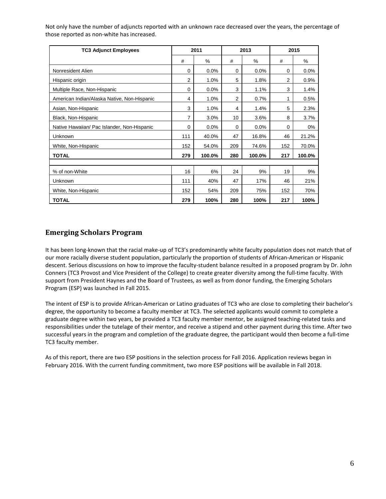Not only have the number of adjuncts reported with an unknown race decreased over the years, the percentage of those reported as non-white has increased.

| <b>TC3 Adjunct Employees</b>                |          | 2011   |                | 2013   |          | 2015   |
|---------------------------------------------|----------|--------|----------------|--------|----------|--------|
|                                             | #        | %      | #              | %      | #        | %      |
| Nonresident Alien                           | 0        | 0.0%   | 0              | 0.0%   | $\Omega$ | 0.0%   |
| Hispanic origin                             | 2        | 1.0%   | 5              | 1.8%   | 2        | 0.9%   |
| Multiple Race, Non-Hispanic                 | 0        | 0.0%   | 3              | 1.1%   | 3        | 1.4%   |
| American Indian/Alaska Native, Non-Hispanic | 4        | 1.0%   | $\overline{2}$ | 0.7%   | 1        | 0.5%   |
| Asian, Non-Hispanic                         | 3        | 1.0%   | 4              | 1.4%   | 5        | 2.3%   |
| Black, Non-Hispanic                         | 7        | 3.0%   | 10             | 3.6%   | 8        | 3.7%   |
| Native Hawaiian/ Pac Islander, Non-Hispanic | $\Omega$ | 0.0%   | $\Omega$       | 0.0%   | $\Omega$ | 0%     |
| Unknown                                     | 111      | 40.0%  | 47             | 16.8%  | 46       | 21.2%  |
| White, Non-Hispanic                         | 152      | 54.0%  | 209            | 74.6%  | 152      | 70.0%  |
| <b>TOTAL</b>                                | 279      | 100.0% | 280            | 100.0% | 217      | 100.0% |
|                                             |          |        |                |        |          |        |
| % of non-White                              | 16       | 6%     | 24             | 9%     | 19       | 9%     |
| Unknown                                     | 111      | 40%    | 47             | 17%    | 46       | 21%    |
| White, Non-Hispanic                         | 152      | 54%    | 209            | 75%    | 152      | 70%    |
| <b>TOTAL</b>                                | 279      | 100%   | 280            | 100%   | 217      | 100%   |

### **Emerging Scholars Program**

It has been long-known that the racial make-up of TC3's predominantly white faculty population does not match that of our more racially diverse student population, particularly the proportion of students of African-American or Hispanic descent. Serious discussions on how to improve the faculty-student balance resulted in a proposed program by Dr. John Conners (TC3 Provost and Vice President of the College) to create greater diversity among the full-time faculty. With support from President Haynes and the Board of Trustees, as well as from donor funding, the Emerging Scholars Program (ESP) was launched in Fall 2015.

The intent of ESP is to provide African-American or Latino graduates of TC3 who are close to completing their bachelor's degree, the opportunity to become a faculty member at TC3. The selected applicants would commit to complete a graduate degree within two years, be provided a TC3 faculty member mentor, be assigned teaching-related tasks and responsibilities under the tutelage of their mentor, and receive a stipend and other payment during this time. After two successful years in the program and completion of the graduate degree, the participant would then become a full-time TC3 faculty member.

As of this report, there are two ESP positions in the selection process for Fall 2016. Application reviews began in February 2016. With the current funding commitment, two more ESP positions will be available in Fall 2018.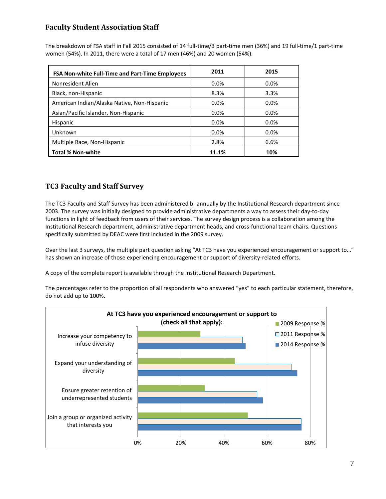# **Faculty Student Association Staff**

The breakdown of FSA staff in Fall 2015 consisted of 14 full-time/3 part-time men (36%) and 19 full-time/1 part-time women (54%). In 2011, there were a total of 17 men (46%) and 20 women (54%).

| <b>FSA Non-white Full-Time and Part-Time Employees</b> | 2011    | 2015 |
|--------------------------------------------------------|---------|------|
| Nonresident Alien                                      | 0.0%    | 0.0% |
| Black, non-Hispanic                                    | 8.3%    | 3.3% |
| American Indian/Alaska Native, Non-Hispanic            | $0.0\%$ | 0.0% |
| Asian/Pacific Islander, Non-Hispanic                   | 0.0%    | 0.0% |
| Hispanic                                               | 0.0%    | 0.0% |
| Unknown                                                | 0.0%    | 0.0% |
| Multiple Race, Non-Hispanic                            | 2.8%    | 6.6% |
| <b>Total % Non-white</b>                               | 11.1%   | 10%  |

# **TC3 Faculty and Staff Survey**

The TC3 Faculty and Staff Survey has been administered bi-annually by the Institutional Research department since 2003. The survey was initially designed to provide administrative departments a way to assess their day-to-day functions in light of feedback from users of their services. The survey design process is a collaboration among the Institutional Research department, administrative department heads, and cross-functional team chairs. Questions specifically submitted by DEAC were first included in the 2009 survey.

Over the last 3 surveys, the multiple part question asking "At TC3 have you experienced encouragement or support to…" has shown an increase of those experiencing encouragement or support of diversity-related efforts.

A copy of the complete report is available through the Institutional Research Department.

The percentages refer to the proportion of all respondents who answered "yes" to each particular statement, therefore, do not add up to 100%.

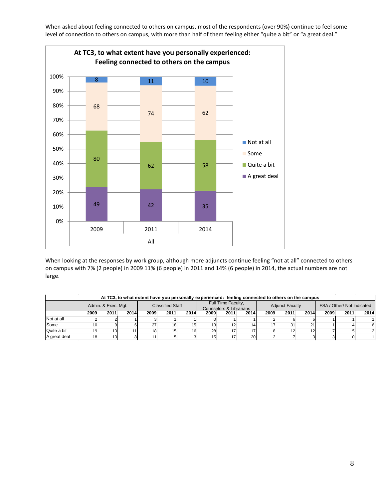When asked about feeling connected to others on campus, most of the respondents (over 90%) continue to feel some level of connection to others on campus, with more than half of them feeling either "quite a bit" or "a great deal."



When looking at the responses by work group, although more adjuncts continue feeling "not at all" connected to others on campus with 7% (2 people) in 2009 11% (6 people) in 2011 and 14% (6 people) in 2014, the actual numbers are not large.

|              | At TC3, to what extent have you personally experienced: feeling connected to others on the campus |                 |      |                         |                 |                                               |      |      |                        |      |      |                            |      |      |      |
|--------------|---------------------------------------------------------------------------------------------------|-----------------|------|-------------------------|-----------------|-----------------------------------------------|------|------|------------------------|------|------|----------------------------|------|------|------|
|              | Admin. & Exec. Mgt.                                                                               |                 |      | <b>Classified Staff</b> |                 | Full Time Faculty,<br>Counselors & Librarians |      |      | <b>Adjunct Faculty</b> |      |      | FSA / Other/ Not Indicated |      |      |      |
|              | 2009                                                                                              | 2011            | 2014 | 2009                    | 2011            | 2014                                          | 2009 | 2011 | 2014                   | 2009 | 2011 | 2014                       | 2009 | 2011 | 2014 |
| Not at all   |                                                                                                   |                 |      |                         |                 |                                               |      |      |                        |      |      |                            |      |      |      |
| Some         | 10I                                                                                               |                 |      | 27                      | 18              | 15                                            | 13   | 12   | 14                     |      | 31   |                            |      |      |      |
| Quite a bit  | 19 <sup>l</sup>                                                                                   | 131             |      | 18                      | 15 <sub>1</sub> | 16                                            | 28   |      |                        |      | 12   |                            |      |      |      |
| A great deal | 18 <sup>l</sup>                                                                                   | 13 <sup>1</sup> |      |                         |                 |                                               | 15   |      | <b>20</b>              |      |      |                            |      |      |      |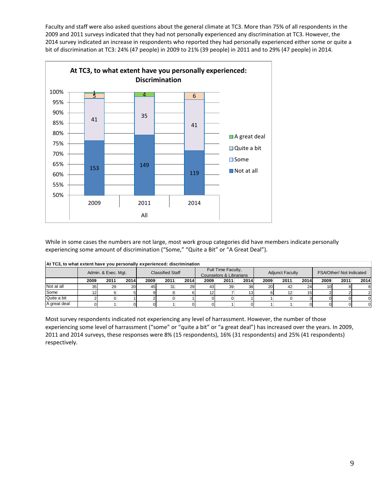Faculty and staff were also asked questions about the general climate at TC3. More than 75% of all respondents in the 2009 and 2011 surveys indicated that they had not personally experienced any discrimination at TC3. However, the 2014 survey indicated an increase in respondents who reported they had personally experienced either some or quite a bit of discrimination at TC3: 24% (47 people) in 2009 to 21% (39 people) in 2011 and to 29% (47 people) in 2014.



While in some cases the numbers are not large, most work group categories did have members indicate personally experiencing some amount of discrimination ("Some," "Quite a Bit" or "A Great Deal").

| At TC3, to what extent have you personally experienced: discrimination |                 |                                                |           |      |                                               |      |      |                        |      |                 |                          |      |      |      |      |
|------------------------------------------------------------------------|-----------------|------------------------------------------------|-----------|------|-----------------------------------------------|------|------|------------------------|------|-----------------|--------------------------|------|------|------|------|
|                                                                        |                 | <b>Classified Staff</b><br>Admin. & Exec. Mgt. |           |      | Full Time Faculty,<br>Counselors & Librarians |      |      | <b>Adjunct Faculty</b> |      |                 | FSA/Other/ Not Indicated |      |      |      |      |
|                                                                        | 2009            | 2011                                           | 2014      | 2009 | 2011                                          | 2014 | 2009 | 2011                   | 2014 | 2009            | 2011                     | 2014 | 2009 | 2011 | 2014 |
| Not at all                                                             | 35 <sub>1</sub> | 29                                             | <b>20</b> | 45   | 31                                            | 29   | 43   | 39                     | 38   | 20 <sup>1</sup> | 42                       |      |      |      |      |
| Some                                                                   |                 |                                                |           |      |                                               |      | 12   |                        |      |                 | 12                       |      |      |      |      |
| Quite a bit                                                            |                 |                                                |           |      |                                               |      |      |                        |      |                 |                          |      |      |      |      |
| A great deal                                                           |                 |                                                |           |      |                                               |      |      |                        |      |                 |                          |      |      |      |      |

Most survey respondents indicated not experiencing any level of harrassment. However, the number of those experiencing some level of harrassment ("some" or "quite a bit" or "a great deal") has increased over the years. In 2009, 2011 and 2014 surveys, these responses were 8% (15 respondents), 16% (31 respondents) and 25% (41 respondents) respectively.

9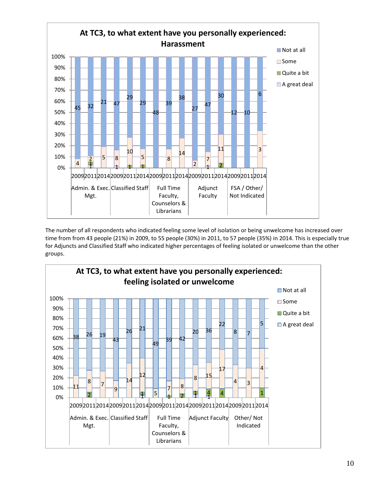

The number of all respondents who indicated feeling some level of isolation or being unwelcome has increased over time from from 43 people (21%) in 2009, to 55 people (30%) in 2011, to 57 people (35%) in 2014. This is especially true for Adjuncts and Classified Staff who indicated higher percentages of feeling isolated or unwelcome than the other groups.

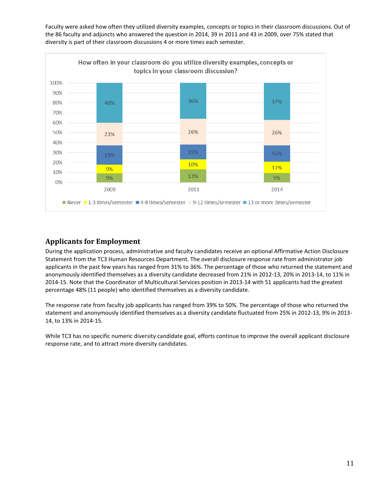Faculty were asked how often they utilized diversity examples, concepts or topics in their classroom discussions. Out of the 86 faculty and adjuncts who answered the question in 2014, 39 in 2011 and 43 in 2009, over 75% stated that diversity is part of their classroom discussions 4 or more times each semester.



### **Applicants for Employment**

During the application process, administrative and faculty candidates receive an optional Affirmative Action Disclosure Statement from the TC3 Human Resources Department. The overall disclosure response rate from administrator job applicants in the past few years has ranged from 31% to 36%. The percentage of those who returned the statement and anonymously identified themselves as a diversity candidate decreased from 21% in 2012-13, 20% in 2013-14, to 11% in 2014-15. Note that the Coordinator of Multicultural Services position in 2013-14 with 51 applicants had the greatest percentage 48% (11 people) who identified themselves as a diversity candidate.

The response rate from faculty job applicants has ranged from 39% to 50%. The percentage of those who returned the statement and anonymously identified themselves as a diversity candidate fluctuated from 25% in 2012-13, 9% in 2013- 14, to 13% in 2014-15.

While TC3 has no specific numeric diversity candidate goal, efforts continue to improve the overall applicant disclosure response rate, and to attract more diversity candidates.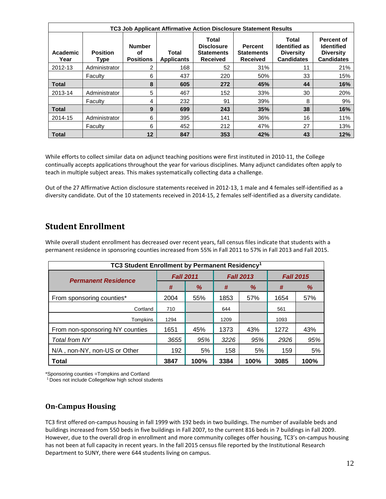|                  | <b>TC3 Job Applicant Affirmative Action Disclosure Statement Results</b> |                                         |                            |                                                                    |                                                        |                                                                        |                                                                          |  |  |  |  |  |
|------------------|--------------------------------------------------------------------------|-----------------------------------------|----------------------------|--------------------------------------------------------------------|--------------------------------------------------------|------------------------------------------------------------------------|--------------------------------------------------------------------------|--|--|--|--|--|
| Academic<br>Year | <b>Position</b><br>Type                                                  | <b>Number</b><br>οf<br><b>Positions</b> | Total<br><b>Applicants</b> | Total<br><b>Disclosure</b><br><b>Statements</b><br><b>Received</b> | <b>Percent</b><br><b>Statements</b><br><b>Received</b> | Total<br><b>Identified as</b><br><b>Diversity</b><br><b>Candidates</b> | Percent of<br><b>Identified</b><br><b>Diversity</b><br><b>Candidates</b> |  |  |  |  |  |
| 2012-13          | Administrator                                                            | 2                                       | 168                        | 52                                                                 | 31%                                                    | 11                                                                     | 21%                                                                      |  |  |  |  |  |
|                  | Faculty                                                                  | 6                                       | 437                        | 220                                                                | 50%                                                    | 33                                                                     | 15%                                                                      |  |  |  |  |  |
| <b>Total</b>     |                                                                          | 8                                       | 605                        | 272                                                                | 45%                                                    | 44                                                                     | 16%                                                                      |  |  |  |  |  |
| 2013-14          | Administrator                                                            | 5                                       | 467                        | 152                                                                | 33%                                                    | 30                                                                     | 20%                                                                      |  |  |  |  |  |
|                  | Faculty                                                                  | 4                                       | 232                        | 91                                                                 | 39%                                                    | 8                                                                      | 9%                                                                       |  |  |  |  |  |
| <b>Total</b>     |                                                                          | 9                                       | 699                        | 243                                                                | 35%                                                    | 38                                                                     | 16%                                                                      |  |  |  |  |  |
| 2014-15          | Administrator                                                            | 6                                       | 395                        | 141                                                                | 36%                                                    | 16                                                                     | 11%                                                                      |  |  |  |  |  |
|                  | Faculty                                                                  | 6                                       | 452                        | 212                                                                | 47%                                                    | 27                                                                     | 13%                                                                      |  |  |  |  |  |
| <b>Total</b>     |                                                                          | 12                                      | 847                        | 353                                                                | 42%                                                    | 43                                                                     | 12%                                                                      |  |  |  |  |  |

While efforts to collect similar data on adjunct teaching positions were first instituted in 2010-11, the College continually accepts applications throughout the year for various disciplines. Many adjunct candidates often apply to teach in multiple subject areas. This makes systematically collecting data a challenge.

Out of the 27 Affirmative Action disclosure statements received in 2012-13, 1 male and 4 females self-identified as a diversity candidate. Out of the 10 statements received in 2014-15, 2 females self-identified as a diversity candidate.

# **Student Enrollment**

| TC3 Student Enrollment by Permanent Residency <sup>1</sup> |                  |      |      |                  |                  |      |  |  |  |  |
|------------------------------------------------------------|------------------|------|------|------------------|------------------|------|--|--|--|--|
| <b>Permanent Residence</b>                                 | <b>Fall 2011</b> |      |      | <b>Fall 2013</b> | <b>Fall 2015</b> |      |  |  |  |  |
|                                                            | #                | %    | #    | %                | #                | %    |  |  |  |  |
| From sponsoring counties*                                  | 2004             | 55%  | 1853 | 57%              | 1654             | 57%  |  |  |  |  |
| Cortland                                                   | 710              |      | 644  |                  | 561              |      |  |  |  |  |
| Tompkins                                                   | 1294             |      | 1209 |                  | 1093             |      |  |  |  |  |
| From non-sponsoring NY counties                            | 1651             | 45%  | 1373 | 43%              | 1272             | 43%  |  |  |  |  |
| Total from NY                                              | 3655             | 95%  | 3226 | 95%              | 2926             | 95%  |  |  |  |  |
| N/A, non-NY, non-US or Other                               | 192              | 5%   | 158  | 5%               | 159              | 5%   |  |  |  |  |
| Total                                                      | 3847             | 100% | 3384 | 100%             | 3085             | 100% |  |  |  |  |

While overall student enrollment has decreased over recent years, fall census files indicate that students with a permanent residence in sponsoring counties increased from 55% in Fall 2011 to 57% in Fall 2013 and Fall 2015.

\*Sponsoring counties =Tompkins and Cortland

1 Does not include CollegeNow high school students

### **On-Campus Housing**

TC3 first offered on-campus housing in fall 1999 with 192 beds in two buildings. The number of available beds and buildings increased from 550 beds in five buildings in Fall 2007, to the current 816 beds in 7 buildings in Fall 2009. However, due to the overall drop in enrollment and more community colleges offer housing, TC3's on-campus housing has not been at full capacity in recent years. In the fall 2015 census file reported by the Institutional Research Department to SUNY, there were 644 students living on campus.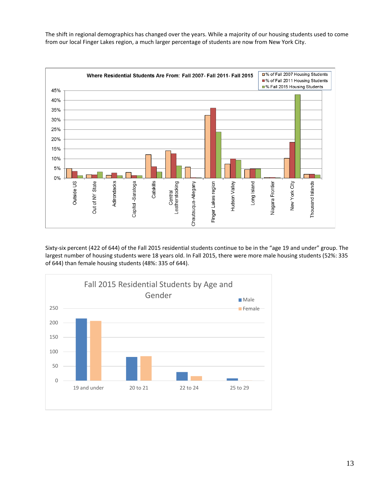The shift in regional demographics has changed over the years. While a majority of our housing students used to come from our local Finger Lakes region, a much larger percentage of students are now from New York City.



Sixty-six percent (422 of 644) of the Fall 2015 residential students continue to be in the "age 19 and under" group. The largest number of housing students were 18 years old. In Fall 2015, there were more male housing students (52%: 335 of 644) than female housing students (48%: 335 of 644).

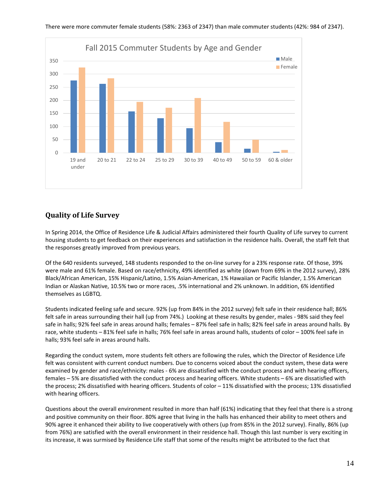

### **Quality of Life Survey**

In Spring 2014, the Office of Residence Life & Judicial Affairs administered their fourth Quality of Life survey to current housing students to get feedback on their experiences and satisfaction in the residence halls. Overall, the staff felt that the responses greatly improved from previous years.

Of the 640 residents surveyed, 148 students responded to the on-line survey for a 23% response rate. Of those, 39% were male and 61% female. Based on race/ethnicity, 49% identified as white (down from 69% in the 2012 survey), 28% Black/African American, 15% Hispanic/Latino, 1.5% Asian-American, 1% Hawaiian or Pacific Islander, 1.5% American Indian or Alaskan Native, 10.5% two or more races, .5% international and 2% unknown. In addition, 6% identified themselves as LGBTQ.

Students indicated feeling safe and secure. 92% (up from 84% in the 2012 survey) felt safe in their residence hall; 86% felt safe in areas surrounding their hall (up from 74%.) Looking at these results by gender, males - 98% said they feel safe in halls; 92% feel safe in areas around halls; females – 87% feel safe in halls; 82% feel safe in areas around halls. By race, white students – 81% feel safe in halls; 76% feel safe in areas around halls, students of color – 100% feel safe in halls; 93% feel safe in areas around halls.

Regarding the conduct system, more students felt others are following the rules, which the Director of Residence Life felt was consistent with current conduct numbers. Due to concerns voiced about the conduct system, these data were examined by gender and race/ethnicity: males - 6% are dissatisfied with the conduct process and with hearing officers, females – 5% are dissatisfied with the conduct process and hearing officers. White students – 6% are dissatisfied with the process; 2% dissatisfied with hearing officers. Students of color – 11% dissatisfied with the process; 13% dissatisfied with hearing officers.

Questions about the overall environment resulted in more than half (61%) indicating that they feel that there is a strong and positive community on their floor. 80% agree that living in the halls has enhanced their ability to meet others and 90% agree it enhanced their ability to live cooperatively with others (up from 85% in the 2012 survey). Finally, 86% (up from 76%) are satisfied with the overall environment in their residence hall. Though this last number is very exciting in its increase, it was surmised by Residence Life staff that some of the results might be attributed to the fact that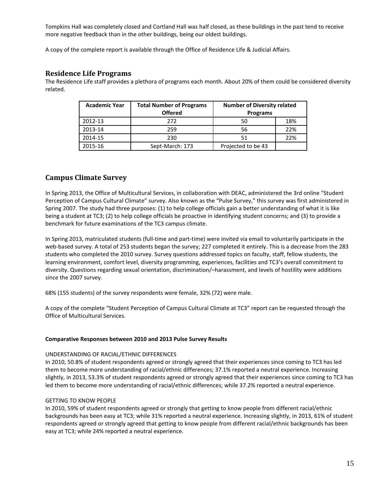Tompkins Hall was completely closed and Cortland Hall was half closed, as these buildings in the past tend to receive more negative feedback than in the other buildings, being our oldest buildings.

A copy of the complete report is available through the Office of Residence Life & Judicial Affairs.

#### **Residence Life Programs**

The Residence Life staff provides a plethora of programs each month. About 20% of them could be considered diversity related.

| <b>Academic Year</b> | <b>Total Number of Programs</b> | <b>Number of Diversity related</b> |     |  |  |
|----------------------|---------------------------------|------------------------------------|-----|--|--|
|                      | <b>Offered</b>                  | <b>Programs</b>                    |     |  |  |
| 2012-13              | 272                             | 50                                 | 18% |  |  |
| 2013-14              | 259                             | 56                                 | 22% |  |  |
| 2014-15              | 230                             | 51                                 | 22% |  |  |
| 2015-16              | Sept-March: 173                 | Projected to be 43                 |     |  |  |

#### **Campus Climate Survey**

In Spring 2013, the Office of Multicultural Services, in collaboration with DEAC, administered the 3rd online "Student Perception of Campus Cultural Climate" survey. Also known as the "Pulse Survey," this survey was first administered in Spring 2007. The study had three purposes: (1) to help college officials gain a better understanding of what it is like being a student at TC3; (2) to help college officials be proactive in identifying student concerns; and (3) to provide a benchmark for future examinations of the TC3 campus climate.

In Spring 2013, matriculated students (full-time and part-time) were invited via email to voluntarily participate in the web-based survey. A total of 253 students began the survey; 227 completed it entirely. This is a decrease from the 283 students who completed the 2010 survey. Survey questions addressed topics on faculty, staff, fellow students, the learning environment, comfort level, diversity programming, experiences, facilities and TC3's overall commitment to diversity. Questions regarding sexual orientation, discrimination/–harassment, and levels of hostility were additions since the 2007 survey.

68% (155 students) of the survey respondents were female, 32% (72) were male.

A copy of the complete "Student Perception of Campus Cultural Climate at TC3" report can be requested through the Office of Multicultural Services.

#### **Comparative Responses between 2010 and 2013 Pulse Survey Results**

#### UNDERSTANDING OF RACIAL/ETHNIC DIFFERENCES

In 2010, 50.8% of student respondents agreed or strongly agreed that their experiences since coming to TC3 has led them to become more understanding of racial/ethnic differences; 37.1% reported a neutral experience. Increasing slightly, in 2013, 53.3% of student respondents agreed or strongly agreed that their experiences since coming to TC3 has led them to become more understanding of racial/ethnic differences; while 37.2% reported a neutral experience.

#### GETTING TO KNOW PEOPLE

In 2010, 59% of student respondents agreed or strongly that getting to know people from different racial/ethnic backgrounds has been easy at TC3; while 31% reported a neutral experience. Increasing slightly, in 2013, 61% of student respondents agreed or strongly agreed that getting to know people from different racial/ethnic backgrounds has been easy at TC3; while 24% reported a neutral experience.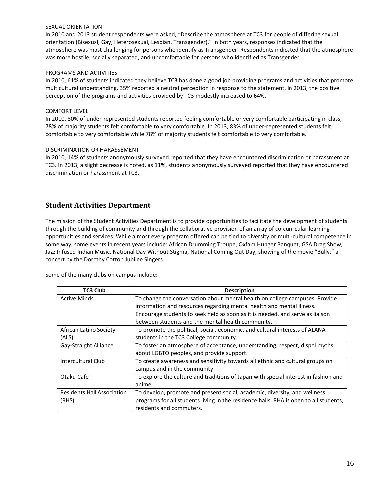#### SEXUAL ORIENTATION

In 2010 and 2013 student respondents were asked, "Describe the atmosphere at TC3 for people of differing sexual orientation (Bisexual, Gay, Heterosexual, Lesbian, Transgender)." In both years, responses indicated that the atmosphere was most challenging for persons who identify as Transgender. Respondents indicated that the atmosphere was more hostile, socially separated, and uncomfortable for persons who identified as Transgender.

#### PROGRAMS AND ACTIVITIES

In 2010, 61% of students indicated they believe TC3 has done a good job providing programs and activities that promote multicultural understanding. 35% reported a neutral perception in response to the statement. In 2013, the positive perception of the programs and activities provided by TC3 modestly increased to 64%.

#### COMFORT LEVEL

In 2010, 80% of under-represented students reported feeling comfortable or very comfortable participating in class; 78% of majority students felt comfortable to very comfortable. In 2013, 83% of under-represented students felt comfortable to very comfortable while 78% of majority students felt comfortable to very comfortable.

#### DISCRIMINATION OR HARASSEMENT

In 2010, 14% of students anonymously surveyed reported that they have encountered discrimination or harassment at TC3. In 2013, a slight decrease is noted, as 11%, students anonymously surveyed reported that they have encountered discrimination or harassment at TC3.

#### **Student Activities Department**

The mission of the Student Activities Department is to provide opportunities to facilitate the development of students through the building of community and through the collaborative provision of an array of co-curricular learning opportunities and services. While almost every program offered can be tied to diversity or multi-cultural competence in some way, some events in recent years include: African Drumming Troupe, Oxfam Hunger Banquet, GSA Drag Show, Jazz Infused Indian Music, National Day Without Stigma, National Coming Out Day, showing of the movie "Bully," a concert by the Dorothy Cotton Jubilee Singers.

Some of the many clubs on campus include:

| <b>TC3 Club</b>            | <b>Description</b>                                                                    |
|----------------------------|---------------------------------------------------------------------------------------|
| <b>Active Minds</b>        | To change the conversation about mental health on college campuses. Provide           |
|                            | information and resources regarding mental health and mental illness.                 |
|                            | Encourage students to seek help as soon as it is needed, and serve as liaison         |
|                            | between students and the mental health community.                                     |
| African Latino Society     | To promote the political, social, economic, and cultural interests of ALANA           |
| (ALS)                      | students in the TC3 College community.                                                |
| Gay-Straight Alliance      | To foster an atmosphere of acceptance, understanding, respect, dispel myths           |
|                            | about LGBTQ peoples, and provide support.                                             |
| Intercultural Club         | To create awareness and sensitivity towards all ethnic and cultural groups on         |
|                            | campus and in the community                                                           |
| Otaku Cafe                 | To explore the culture and traditions of Japan with special interest in fashion and   |
|                            | anime.                                                                                |
| Residents Hall Association | To develop, promote and present social, academic, diversity, and wellness             |
| (RHS)                      | programs for all students living in the residence halls. RHA is open to all students, |
|                            | residents and commuters.                                                              |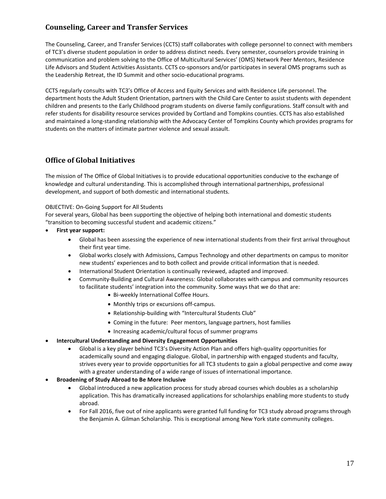# **Counseling, Career and Transfer Services**

The Counseling, Career, and Transfer Services (CCTS) staff collaborates with college personnel to connect with members of TC3's diverse student population in order to address distinct needs. Every semester, counselors provide training in communication and problem solving to the Office of Multicultural Services' (OMS) Network Peer Mentors, Residence Life Advisors and Student Activities Assistants. CCTS co-sponsors and/or participates in several OMS programs such as the Leadership Retreat, the ID Summit and other socio-educational programs.

CCTS regularly consults with TC3's Office of Access and Equity Services and with Residence Life personnel. The department hosts the Adult Student Orientation, partners with the Child Care Center to assist students with dependent children and presents to the Early Childhood program students on diverse family configurations. Staff consult with and refer students for disability resource services provided by Cortland and Tompkins counties. CCTS has also established and maintained a long-standing relationship with the Advocacy Center of Tompkins County which provides programs for students on the matters of intimate partner violence and sexual assault.

### **Office of Global Initiatives**

The mission of The Office of Global Initiatives is to provide educational opportunities conducive to the exchange of knowledge and cultural understanding. This is accomplished through international partnerships, professional development, and support of both domestic and international students.

#### OBJECTIVE: On-Going Support for All Students

For several years, Global has been supporting the objective of helping both international and domestic students "transition to becoming successful student and academic citizens."

- **First year support:** 
	- Global has been assessing the experience of new international students from their first arrival throughout their first year time.
	- Global works closely with Admissions, Campus Technology and other departments on campus to monitor new students' experiences and to both collect and provide critical information that is needed.
	- International Student Orientation is continually reviewed, adapted and improved.
	- Community-Building and Cultural Awareness: Global collaborates with campus and community resources to facilitate students' integration into the community. Some ways that we do that are:
		- Bi-weekly International Coffee Hours.
		- Monthly trips or excursions off-campus.
		- Relationship-building with "Intercultural Students Club"
		- Coming in the future: Peer mentors, language partners, host families
		- Increasing academic/cultural focus of summer programs

#### • **Intercultural Understanding and Diversity Engagement Opportunities**

- Global is a key player behind TC3's Diversity Action Plan and offers high-quality opportunities for academically sound and engaging dialogue. Global, in partnership with engaged students and faculty, strives every year to provide opportunities for all TC3 students to gain a global perspective and come away with a greater understanding of a wide range of issues of international importance.
- **Broadening of Study Abroad to Be More Inclusive** 
	- Global introduced a new application process for study abroad courses which doubles as a scholarship application. This has dramatically increased applications for scholarships enabling more students to study abroad.
	- For Fall 2016, five out of nine applicants were granted full funding for TC3 study abroad programs through the Benjamin A. Gilman Scholarship. This is exceptional among New York state community colleges.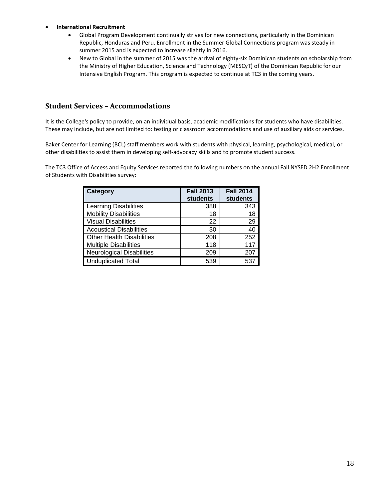#### • **International Recruitment**

- Global Program Development continually strives for new connections, particularly in the Dominican Republic, Honduras and Peru. Enrollment in the Summer Global Connections program was steady in summer 2015 and is expected to increase slightly in 2016.
- New to Global in the summer of 2015 was the arrival of eighty-six Dominican students on scholarship from the Ministry of Higher Education, Science and Technology (MESCyT) of the Dominican Republic for our Intensive English Program. This program is expected to continue at TC3 in the coming years.

## **Student Services – Accommodations**

It is the College's policy to provide, on an individual basis, academic modifications for students who have disabilities. These may include, but are not limited to: testing or classroom accommodations and use of auxiliary aids or services.

Baker Center for Learning (BCL) staff members work with students with physical, learning, psychological, medical, or other disabilities to assist them in developing self-advocacy skills and to promote student success.

The TC3 Office of Access and Equity Services reported the following numbers on the annual Fall NYSED 2H2 Enrollment of Students with Disabilities survey:

| Category                         | <b>Fall 2013</b><br>students | <b>Fall 2014</b><br><b>students</b> |
|----------------------------------|------------------------------|-------------------------------------|
| <b>Learning Disabilities</b>     | 388                          | 343                                 |
| <b>Mobility Disabilities</b>     | 18                           | 18                                  |
| <b>Visual Disabilities</b>       | 22                           | 29                                  |
| <b>Acoustical Disabilities</b>   | 30                           | 40                                  |
| <b>Other Health Disabilities</b> | 208                          | 252                                 |
| <b>Multiple Disabilities</b>     | 118                          | 117                                 |
| <b>Neurological Disabilities</b> | 209                          | 207                                 |
| <b>Unduplicated Total</b>        | 539                          | 537                                 |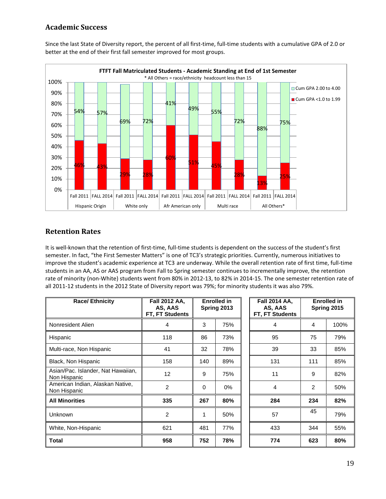# **Academic Success**



Since the last State of Diversity report, the percent of all first-time, full-time students with a cumulative GPA of 2.0 or better at the end of their first fall semester improved for most groups.

### **Retention Rates**

It is well-known that the retention of first-time, full-time students is dependent on the success of the student's first semester. In fact, "the First Semester Matters" is one of TC3's strategic priorities. Currently, numerous initiatives to improve the student's academic experience at TC3 are underway. While the overall retention rate of first time, full-time students in an AA, AS or AAS program from Fall to Spring semester continues to incrementally improve, the retention rate of minority (non-White) students went from 80% in 2012-13, to 82% in 2014-15. The one semester retention rate of all 2011-12 students in the 2012 State of Diversity report was 79%; for minority students it was also 79%.

| <b>Race/ Ethnicity</b>                             | Fall 2012 AA,<br>AS, AAS<br><b>FT, FT Students</b> |          | <b>Enrolled in</b><br>Spring 2013 | Fall 2014 AA,<br>AS, AAS<br>FT, FT Students |     | <b>Enrolled in</b><br>Spring 2015 |
|----------------------------------------------------|----------------------------------------------------|----------|-----------------------------------|---------------------------------------------|-----|-----------------------------------|
| Nonresident Alien                                  | 4                                                  | 3        | 75%                               | 4                                           | 4   | 100%                              |
| Hispanic                                           | 118                                                | 86       | 73%                               | 95                                          | 75  | 79%                               |
| Multi-race, Non Hispanic                           | 41                                                 | 32       | 78%                               | 39                                          | 33  | 85%                               |
| Black, Non Hispanic                                | 158                                                | 140      | 89%                               | 131                                         | 111 | 85%                               |
| Asian/Pac. Islander, Nat Hawaiian,<br>Non Hispanic | 12                                                 | 9        | 75%                               | 11                                          | 9   | 82%                               |
| American Indian, Alaskan Native,<br>Non Hispanic   | 2                                                  | $\Omega$ | $0\%$                             | $\overline{4}$                              | 2   | 50%                               |
| <b>All Minorities</b>                              | 335                                                | 267      | 80%                               | 284                                         | 234 | 82%                               |
| Unknown                                            | $\overline{2}$                                     | 1        | 50%                               | 57                                          | 45  | 79%                               |
| White, Non-Hispanic                                | 621                                                | 481      | 77%                               | 433                                         | 344 | 55%                               |
| <b>Total</b>                                       | 958                                                | 752      | 78%                               | 774                                         | 623 | 80%                               |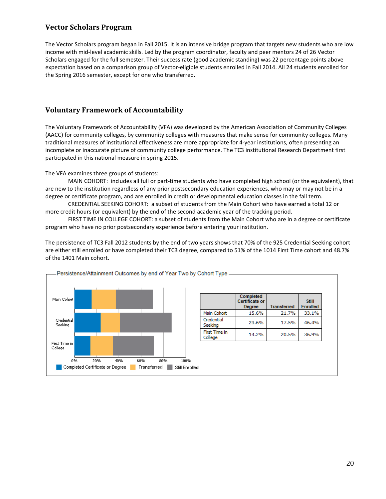# **Vector Scholars Program**

The Vector Scholars program began in Fall 2015. It is an intensive bridge program that targets new students who are low income with mid-level academic skills. Led by the program coordinator, faculty and peer mentors 24 of 26 Vector Scholars engaged for the full semester. Their success rate (good academic standing) was 22 percentage points above expectation based on a comparison group of Vector-eligible students enrolled in Fall 2014. All 24 students enrolled for the Spring 2016 semester, except for one who transferred.

### **Voluntary Framework of Accountability**

The Voluntary Framework of Accountability (VFA) was developed by the American Association of Community Colleges (AACC) for community colleges, by community colleges with measures that make sense for community colleges. Many traditional measures of institutional effectiveness are more appropriate for 4-year institutions, often presenting an incomplete or inaccurate picture of community college performance. The TC3 institutional Research Department first participated in this national measure in spring 2015.

The VFA examines three groups of students:

MAIN COHORT: includes all full or part-time students who have completed high school (or the equivalent), that are new to the institution regardless of any prior postsecondary education experiences, who may or may not be in a degree or certificate program, and are enrolled in credit or developmental education classes in the fall term.

CREDENTIAL SEEKING COHORT: a subset of students from the Main Cohort who have earned a total 12 or more credit hours (or equivalent) by the end of the second academic year of the tracking period.

FIRST TIME IN COLLEGE COHORT: a subset of students from the Main Cohort who are in a degree or certificate program who have no prior postsecondary experience before entering your institution.

The persistence of TC3 Fall 2012 students by the end of two years shows that 70% of the 925 Credential Seeking cohort are either still enrolled or have completed their TC3 degree, compared to 51% of the 1014 First Time cohort and 48.7% of the 1401 Main cohort.

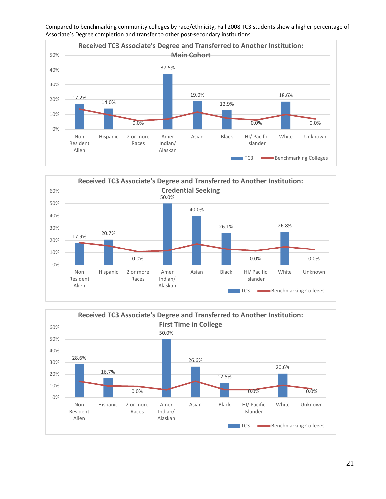

Compared to benchmarking community colleges by race/ethnicity, Fall 2008 TC3 students show a higher percentage of Associate's Degree completion and transfer to other post-secondary institutions.



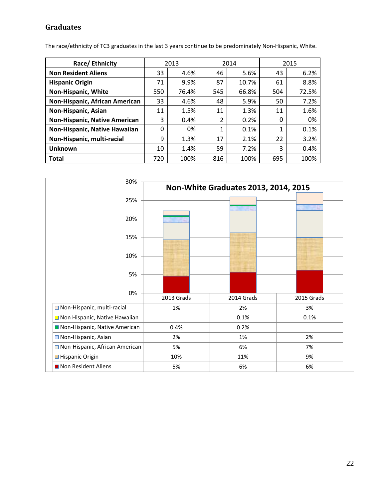# **Graduates**

The race/ethnicity of TC3 graduates in the last 3 years continue to be predominately Non-Hispanic, White.

| Race/ Ethnicity                |     | 2013  |     | 2014  | 2015 |       |  |
|--------------------------------|-----|-------|-----|-------|------|-------|--|
| <b>Non Resident Aliens</b>     | 33  | 4.6%  | 46  | 5.6%  | 43   | 6.2%  |  |
| <b>Hispanic Origin</b>         | 71  | 9.9%  | 87  | 10.7% | 61   | 8.8%  |  |
| Non-Hispanic, White            | 550 | 76.4% | 545 | 66.8% | 504  | 72.5% |  |
| Non-Hispanic, African American | 33  | 4.6%  | 48  | 5.9%  | 50   | 7.2%  |  |
| Non-Hispanic, Asian            | 11  | 1.5%  | 11  | 1.3%  | 11   | 1.6%  |  |
| Non-Hispanic, Native American  | 3   | 0.4%  | 2   | 0.2%  | 0    | 0%    |  |
| Non-Hispanic, Native Hawaiian  | 0   | 0%    | 1   | 0.1%  | 1    | 0.1%  |  |
| Non-Hispanic, multi-racial     | 9   | 1.3%  | 17  | 2.1%  | 22   | 3.2%  |  |
| <b>Unknown</b>                 | 10  | 1.4%  | 59  | 7.2%  | 3    | 0.4%  |  |
| <b>Total</b>                   | 720 | 100%  | 816 | 100%  | 695  | 100%  |  |

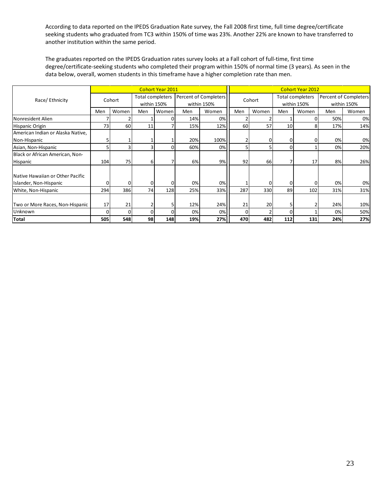According to data reported on the IPEDS Graduation Rate survey, the Fall 2008 first time, full time degree/certificate seeking students who graduated from TC3 within 150% of time was 23%. Another 22% are known to have transferred to another institution within the same period.

The graduates reported on the IPEDS Graduation rates survey looks at a Fall cohort of full-time, first time degree/certificate-seeking students who completed their program within 150% of normal time (3 years). As seen in the data below, overall, women students in this timeframe have a higher completion rate than men.

|                                   | <b>Cohort Year 2011</b> |       |                  |       |                       |       | <b>Cohort Year 2012</b> |       |                         |       |                       |       |
|-----------------------------------|-------------------------|-------|------------------|-------|-----------------------|-------|-------------------------|-------|-------------------------|-------|-----------------------|-------|
| Race/Ethnicity                    | Cohort                  |       | Total completers |       | Percent of Completers |       | Cohort                  |       | <b>Total completers</b> |       | Percent of Completers |       |
|                                   |                         |       | within 150%      |       | within 150%           |       |                         |       | within 150%             |       | within 150%           |       |
|                                   | Men                     | Women | Men              | Women | Men                   | Women | Men                     | Women | Men                     | Women | Men                   | Women |
| Nonresident Alien                 |                         | 2     |                  | 0     | 14%                   | 0%    |                         |       |                         | 0     | 50%                   | 0%    |
| <b>Hispanic Origin</b>            | 73                      | 60    | 11               |       | 15%                   | 12%   | 60                      | 57    | 10 <sup>1</sup>         | 8     | 17%                   | 14%   |
| American Indian or Alaska Native, |                         |       |                  |       |                       |       |                         |       |                         |       |                       |       |
| Non-Hispanic                      | 51                      |       |                  |       | 20%                   | 100%  | 2                       |       | 0                       | 0     | 0%                    | 0%    |
| Asian, Non-Hispanic               | 51                      | 3     |                  |       | 60%                   | 0%    | 5                       |       | $\Omega$                |       | 0%                    | 20%   |
| Black or African American, Non-   |                         |       |                  |       |                       |       |                         |       |                         |       |                       |       |
| Hispanic                          | 104                     | 75    | 6                |       | 6%                    | 9%    | 92                      | 66    |                         | 17    | 8%                    | 26%   |
|                                   |                         |       |                  |       |                       |       |                         |       |                         |       |                       |       |
| Native Hawaiian or Other Pacific  |                         |       |                  |       |                       |       |                         |       |                         |       |                       |       |
| Islander, Non-Hispanic            | 0                       | 0     | $\Omega$         | 0     | 0%                    | 0%    |                         |       | $\Omega$                | 0     | 0%                    | 0%    |
| White, Non-Hispanic               | 294                     | 386   | 74               | 128   | 25%                   | 33%   | 287                     | 330   | 89                      | 102   | 31%                   | 31%   |
|                                   |                         |       |                  |       |                       |       |                         |       |                         |       |                       |       |
| Two or More Races, Non-Hispanic   | 17                      | 21    |                  | 5     | 12%                   | 24%   | 21                      | 20    | 5                       |       | 24%                   | 10%   |
| Unknown                           | 0                       | 0     | $\Omega$         |       | 0%                    | 0%    | $\Omega$                |       | $\Omega$                |       | 0%                    | 50%   |
| <b>Total</b>                      | 505                     | 548   | 98               | 148   | 19%                   | 27%   | 470                     | 482   | 112                     | 131   | 24%                   | 27%   |